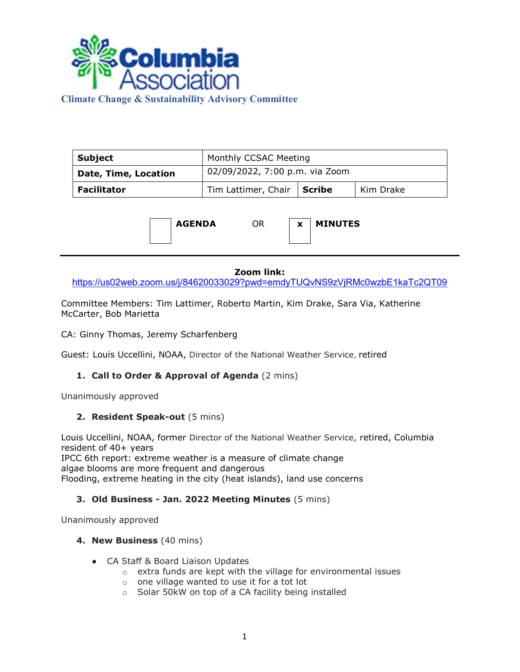

# Climate Change & Sustainability Advisory Committee

| Subject                     | Monthly CCSAC Meeting          |  |           |
|-----------------------------|--------------------------------|--|-----------|
| <b>Date, Time, Location</b> | 02/09/2022, 7:00 p.m. via Zoom |  |           |
| <b>Facilitator</b>          | Tim Lattimer, Chair   Scribe   |  | Kim Drake |



#### Zoom link:

https://us02web.zoom.us/j/84620033029?pwd=emdyTUQvNS9zVjRMc0wzbE1kaTc2QT09

Committee Members: Tim Lattimer, Roberto Martin, Kim Drake, Sara Via, Katherine McCarter, Bob Marietta

CA: Ginny Thomas, Jeremy Scharfenberg

Guest: Louis Uccellini, NOAA, Director of the National Weather Service, retired

## 1. Call to Order & Approval of Agenda (2 mins)

Unanimously approved

#### 2. Resident Speak-out (5 mins)

Louis Uccellini, NOAA, former Director of the National Weather Service, retired, Columbia resident of 40+ years

IPCC 6th report: extreme weather is a measure of climate change algae blooms are more frequent and dangerous Flooding, extreme heating in the city (heat islands), land use concerns

## 3. Old Business - Jan. 2022 Meeting Minutes (5 mins)

Unanimously approved

#### 4. New Business (40 mins)

- CA Staff & Board Liaison Updates
	- o extra funds are kept with the village for environmental issues
	- o one village wanted to use it for a tot lot
	- o Solar 50kW on top of a CA facility being installed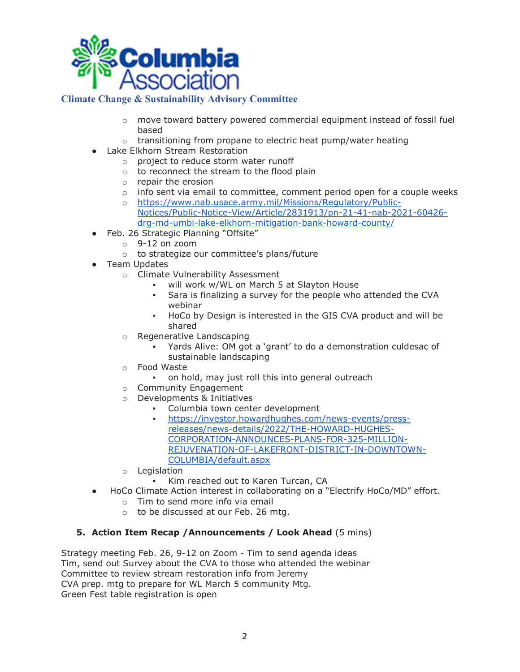

## Climate Change & Sustainability Advisory Committee

- $\circ$  move toward battery powered commercial equipment instead of fossil fuel based
- o transitioning from propane to electric heat pump/water heating
- Lake Elkhorn Stream Restoration
	- o project to reduce storm water runoff
	- o to reconnect the stream to the flood plain
	- o repair the erosion
	- $\circ$  info sent via email to committee, comment period open for a couple weeks
	- o https://www.nab.usace.army.mil/Missions/Regulatory/Public-Notices/Public-Notice-View/Article/2831913/pn-21-41-nab-2021-60426 drg-md-umbi-lake-elkhorn-mitigation-bank-howard-county/
- Feb. 26 Strategic Planning "Offsite"
	- $\circ$  9-12 on zoom
	- o to strategize our committee's plans/future
- Team Updates
	- o Climate Vulnerability Assessment
		- will work w/WL on March 5 at Slayton House
		- Sara is finalizing a survey for the people who attended the CVA webinar
		- HoCo by Design is interested in the GIS CVA product and will be shared
	- o Regenerative Landscaping
		- Yards Alive: OM got a 'grant' to do a demonstration culdesac of sustainable landscaping
	- o Food Waste
		- on hold, may just roll this into general outreach
	- o Community Engagement
	- o Developments & Initiatives
		- Columbia town center development
		- https://investor.howardhughes.com/news-events/pressreleases/news-details/2022/THE-HOWARD-HUGHES-CORPORATION-ANNOUNCES-PLANS-FOR-325-MILLION-REJUVENATION-OF-LAKEFRONT-DISTRICT-IN-DOWNTOWN-COLUMBIA/default.aspx
	- o Legislation
		- Kim reached out to Karen Turcan, CA
- HoCo Climate Action interest in collaborating on a "Electrify HoCo/MD" effort.
	- o Tim to send more info via email
	- o to be discussed at our Feb. 26 mtg.

# 5. Action Item Recap /Announcements / Look Ahead (5 mins)

Strategy meeting Feb. 26, 9-12 on Zoom - Tim to send agenda ideas Tim, send out Survey about the CVA to those who attended the webinar Committee to review stream restoration info from Jeremy CVA prep. mtg to prepare for WL March 5 community Mtg. Green Fest table registration is open